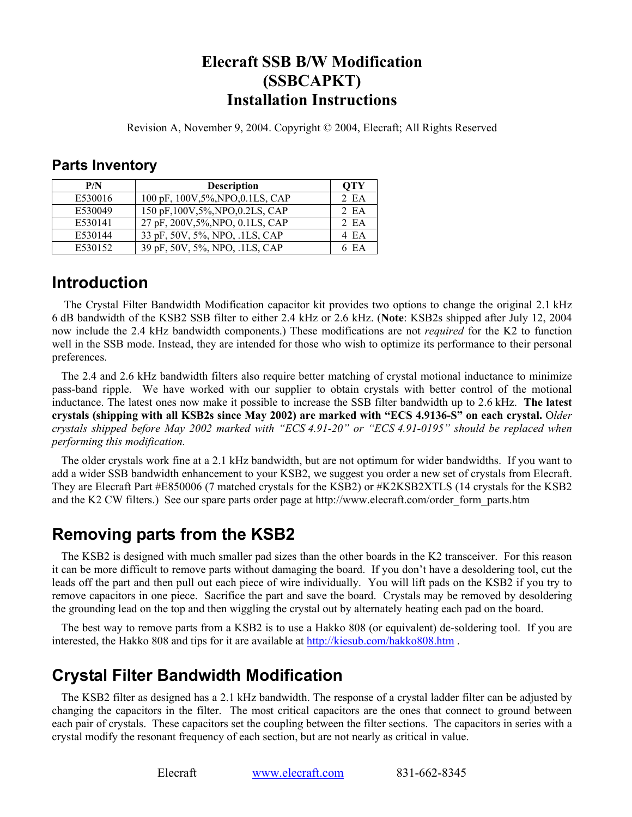#### **Elecraft SSB B/W Modification (SSBCAPKT) Installation Instructions**

Revision A, November 9, 2004. Copyright © 2004, Elecraft; All Rights Reserved

#### **Parts Inventory**

| P/N     | <b>Description</b>                | OTY   |
|---------|-----------------------------------|-------|
| E530016 | 100 pF, 100V, 5%, NPO, 0.1LS, CAP | 2 EA  |
| E530049 | 150 pF, 100V, 5%, NPO, 0.2LS, CAP | 2 EA  |
| E530141 | 27 pF, 200V, 5%, NPO, 0.1LS, CAP  | 2EA   |
| E530144 | 33 pF, 50V, 5%, NPO, .1LS, CAP    | 4 EA  |
| E530152 | 39 pF, 50V, 5%, NPO, .1LS, CAP    | 6 E.A |

## **Introduction**

 The Crystal Filter Bandwidth Modification capacitor kit provides two options to change the original 2.1 kHz 6 dB bandwidth of the KSB2 SSB filter to either 2.4 kHz or 2.6 kHz. (**Note**: KSB2s shipped after July 12, 2004 now include the 2.4 kHz bandwidth components.) These modifications are not *required* for the K2 to function well in the SSB mode. Instead, they are intended for those who wish to optimize its performance to their personal preferences.

The 2.4 and 2.6 kHz bandwidth filters also require better matching of crystal motional inductance to minimize pass-band ripple. We have worked with our supplier to obtain crystals with better control of the motional inductance. The latest ones now make it possible to increase the SSB filter bandwidth up to 2.6 kHz. **The latest crystals (shipping with all KSB2s since May 2002) are marked with "ECS 4.9136-S" on each crystal.** O*lder crystals shipped before May 2002 marked with "ECS 4.91-20" or "ECS 4.91-0195" should be replaced when performing this modification.* 

The older crystals work fine at a 2.1 kHz bandwidth, but are not optimum for wider bandwidths. If you want to add a wider SSB bandwidth enhancement to your KSB2, we suggest you order a new set of crystals from Elecraft. They are Elecraft Part #E850006 (7 matched crystals for the KSB2) or #K2KSB2XTLS (14 crystals for the KSB2 and the K2 CW filters.) See our spare parts order page at http://www.elecraft.com/order\_form\_parts.htm

# **Removing parts from the KSB2**

The KSB2 is designed with much smaller pad sizes than the other boards in the K2 transceiver. For this reason it can be more difficult to remove parts without damaging the board. If you don't have a desoldering tool, cut the leads off the part and then pull out each piece of wire individually. You will lift pads on the KSB2 if you try to remove capacitors in one piece. Sacrifice the part and save the board. Crystals may be removed by desoldering the grounding lead on the top and then wiggling the crystal out by alternately heating each pad on the board.

The best way to remove parts from a KSB2 is to use a Hakko 808 (or equivalent) de-soldering tool. If you are interested, the Hakko 808 and tips for it are available at http://kiesub.com/hakko808.htm .

# **Crystal Filter Bandwidth Modification**

The KSB2 filter as designed has a 2.1 kHz bandwidth. The response of a crystal ladder filter can be adjusted by changing the capacitors in the filter. The most critical capacitors are the ones that connect to ground between each pair of crystals. These capacitors set the coupling between the filter sections. The capacitors in series with a crystal modify the resonant frequency of each section, but are not nearly as critical in value.